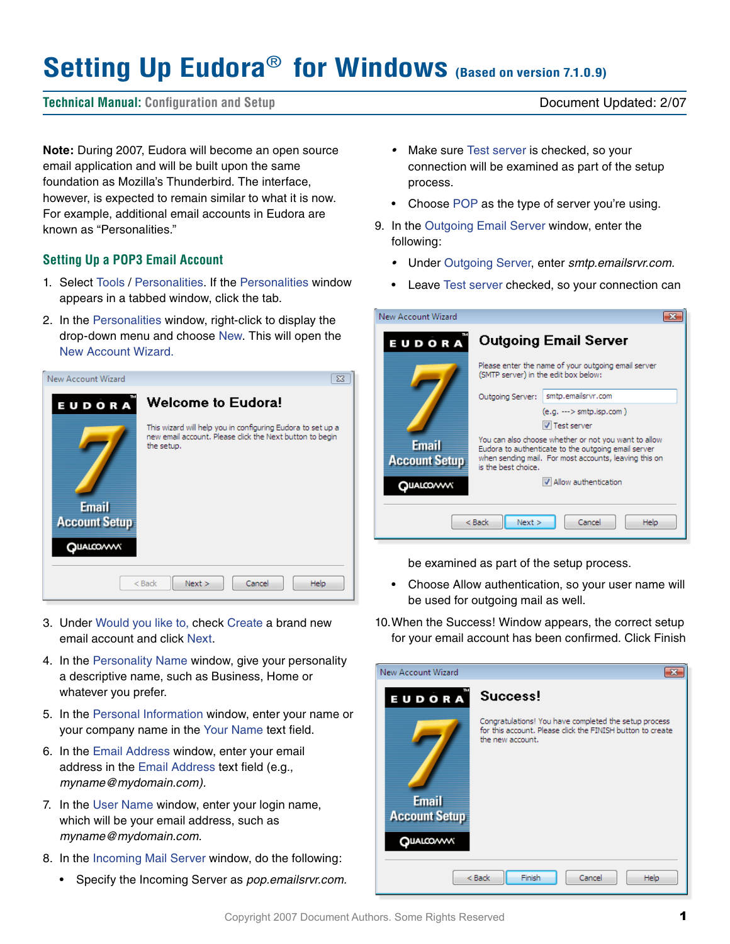# **Setting Up Eudora**® **for Windows (Based on version 7.1.0.9)**

## **Technical Manual: Configuration and Setup** Document Updated: 2/07

**Note:** During 2007, Eudora will become an open source email application and will be built upon the same foundation as Mozilla's Thunderbird. The interface, however, is expected to remain similar to what it is now. For example, additional email accounts in Eudora are known as "Personalities."

## **Setting Up a POP3 Email Account**

- 1. Select Tools / Personalities. If the Personalities window appears in a tabbed window, click the tab.
- 2. In the Personalities window, right-click to display the drop-down menu and choose New. This will open the New Account Wizard.



- 3. Under Would you like to, check Create a brand new email account and click Next.
- 4. In the Personality Name window, give your personality a descriptive name, such as Business, Home or whatever you prefer.
- 5. In the Personal Information window, enter your name or your company name in the Your Name text field.
- 6. In the Email Address window, enter your email address in the Email Address text field (e.g., *myname@mydomain.com).*
- 7. In the User Name window, enter your login name, which will be your email address, such as *myname@mydomain.com.*
- 8. In the Incoming Mail Server window, do the following:
	- Specify the Incoming Server as *pop.emailsrvr.com.*
- *•*  Make sure Test server is checked, so your connection will be examined as part of the setup process.
- Choose POP as the type of server you're using.
- 9. In the Outgoing Email Server window, enter the following:
	- *•*  Under Outgoing Server, enter *smtp.emailsrvr.com.*
	- Leave Test server checked, so your connection can

| New Account Wizard                      |                                                                                                                                                                                             |  |
|-----------------------------------------|---------------------------------------------------------------------------------------------------------------------------------------------------------------------------------------------|--|
| EUDORA                                  | <b>Outgoing Email Server</b>                                                                                                                                                                |  |
|                                         | Please enter the name of your outgoing email server<br>(SMTP server) in the edit box below:                                                                                                 |  |
|                                         | smtp.emailsrvr.com<br>Outgoing Server:                                                                                                                                                      |  |
|                                         | $(e.g. \longrightarrow smtp.isp.com)$                                                                                                                                                       |  |
|                                         | <b>V</b> Test server                                                                                                                                                                        |  |
| <b>Email</b><br><b>Account Setup</b>    | You can also choose whether or not you want to allow<br>Eudora to authenticate to the outgoing email server<br>when sending mail. For most accounts, leaving this on<br>is the best choice. |  |
| QUALCOVVV                               | V Allow authentication                                                                                                                                                                      |  |
|                                         |                                                                                                                                                                                             |  |
| $Back$<br>Next<br>Cancel<br><b>Help</b> |                                                                                                                                                                                             |  |

be examined as part of the setup process.

- Choose Allow authentication, so your user name will be used for outgoing mail as well.
- 10.When the Success! Window appears, the correct setup for your email account has been confirmed. Click Finish

| New Account Wizard                                        |                                                                                                                                         |  |
|-----------------------------------------------------------|-----------------------------------------------------------------------------------------------------------------------------------------|--|
| EUDORA                                                    | Success!                                                                                                                                |  |
| <b>Email</b><br><b>Account Setup</b><br><b>QUALCO/WWW</b> | Congratulations! You have completed the setup process<br>for this account. Please click the FINISH button to create<br>the new account. |  |
| Finish<br>$<$ Back<br>Cancel<br>Help                      |                                                                                                                                         |  |